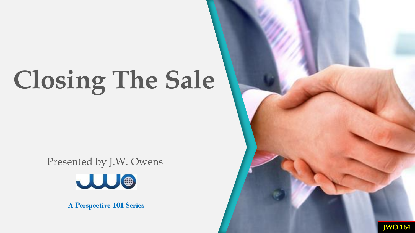Presented by J.W. Owens



**A Perspective 101 Series**

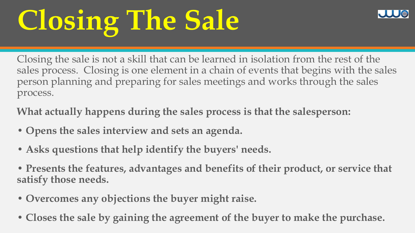Closing the sale is not a skill that can be learned in isolation from the rest of the sales process. Closing is one element in a chain of events that begins with the sales person planning and preparing for sales meetings and works through the sales process.

**What actually happens during the sales process is that the salesperson:** 

- **Opens the sales interview and sets an agenda.**
- **Asks questions that help identify the buyers' needs.**
- **Presents the features, advantages and benefits of their product, or service that satisfy those needs.**
- **Overcomes any objections the buyer might raise.**
- **Closes the sale by gaining the agreement of the buyer to make the purchase.**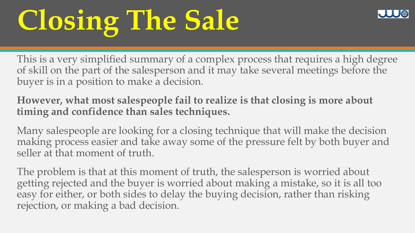This is a very simplified summary of a complex process that requires a high degree of skill on the part of the salesperson and it may take several meetings before the buyer is in a position to make a decision.

**However, what most salespeople fail to realize is that closing is more about timing and confidence than sales techniques.** 

Many salespeople are looking for a closing technique that will make the decision making process easier and take away some of the pressure felt by both buyer and seller at that moment of truth.

The problem is that at this moment of truth, the salesperson is worried about getting rejected and the buyer is worried about making a mistake, so it is all too easy for either, or both sides to delay the buying decision, rather than risking rejection, or making a bad decision.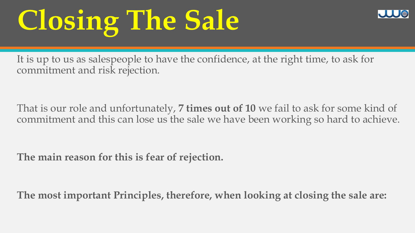It is up to us as salespeople to have the confidence, at the right time, to ask for commitment and risk rejection.

That is our role and unfortunately, **7 times out of 10** we fail to ask for some kind of commitment and this can lose us the sale we have been working so hard to achieve.

**The main reason for this is fear of rejection.** 

**The most important Principles, therefore, when looking at closing the sale are:**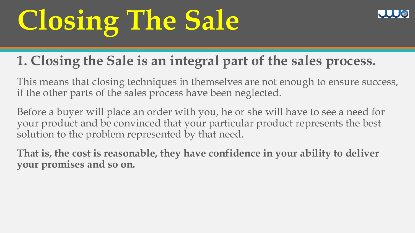### **1. Closing the Sale is an integral part of the sales process.**

This means that closing techniques in themselves are not enough to ensure success, if the other parts of the sales process have been neglected.

Before a buyer will place an order with you, he or she will have to see a need for your product and be convinced that your particular product represents the best solution to the problem represented by that need.

**That is, the cost is reasonable, they have confidence in your ability to deliver your promises and so on.**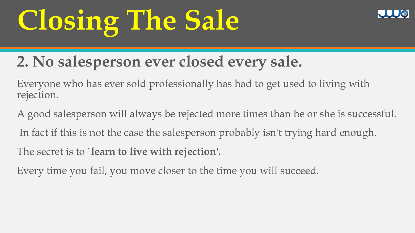

### **2. No salesperson ever closed every sale.**

Everyone who has ever sold professionally has had to get used to living with rejection.

A good salesperson will always be rejected more times than he or she is successful.

In fact if this is not the case the salesperson probably isn't trying hard enough.

The secret is to **`learn to live with rejection'.** 

Every time you fail, you move closer to the time you will succeed.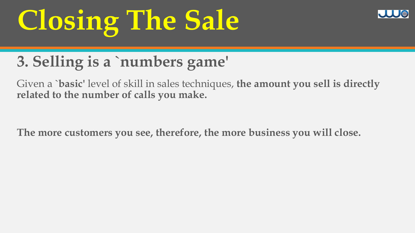

### **3. Selling is a `numbers game'**

Given a **`basic'** level of skill in sales techniques, **the amount you sell is directly related to the number of calls you make.**

**The more customers you see, therefore, the more business you will close.**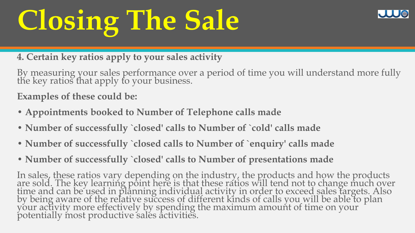**4. Certain key ratios apply to your sales activity** 

By measuring your sales performance over a period of time you will understand more fully the key ratios that apply to your business.

**Examples of these could be:** 

- **Appointments booked to Number of Telephone calls made**
- **Number of successfully `closed' calls to Number of `cold' calls made**
- **Number of successfully `closed calls to Number of `enquiry' calls made**
- **Number of successfully `closed' calls to Number of presentations made**

In sales, these ratios vary depending on the industry, the products and how the products are sold. The key learning point here is that these ratios will tend not to change much over time and can be used in planning individual activity in order to exceed sales targets. Also by being aware of the relative success of different kinds of calls you will be able to plan your activity more effectively by spending the maximum amount of time on your potentially most productive sales activities.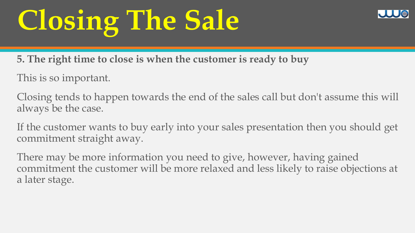**5. The right time to close is when the customer is ready to buy** 

This is so important.

Closing tends to happen towards the end of the sales call but don't assume this will always be the case.

If the customer wants to buy early into your sales presentation then you should get commitment straight away.

There may be more information you need to give, however, having gained commitment the customer will be more relaxed and less likely to raise objections at a later stage.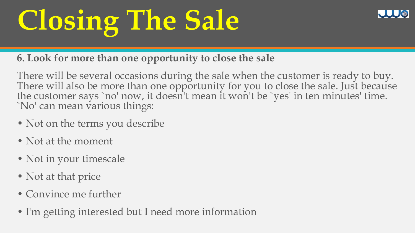

#### **6. Look for more than one opportunity to close the sale**

There will be several occasions during the sale when the customer is ready to buy. There will also be more than one opportunity for you to close the sale. Just because the customer says `no' now, it doesn't mean it won't be `yes' in ten minutes' time. `No' can mean various things:

- Not on the terms you describe
- Not at the moment
- Not in your timescale
- Not at that price
- Convince me further
- I'm getting interested but I need more information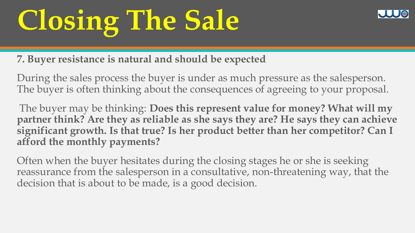

**7. Buyer resistance is natural and should be expected** 

During the sales process the buyer is under as much pressure as the salesperson. The buyer is often thinking about the consequences of agreeing to your proposal.

The buyer may be thinking: **Does this represent value for money? What will my partner think? Are they as reliable as she says they are? He says they can achieve significant growth. Is that true? Is her product better than her competitor? Can I afford the monthly payments?** 

Often when the buyer hesitates during the closing stages he or she is seeking reassurance from the salesperson in a consultative, non-threatening way, that the decision that is about to be made, is a good decision.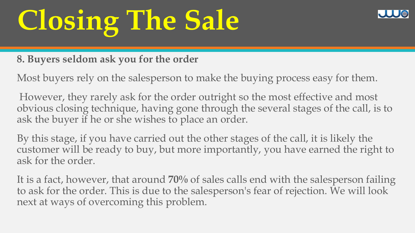

**8. Buyers seldom ask you for the order** 

Most buyers rely on the salesperson to make the buying process easy for them.

However, they rarely ask for the order outright so the most effective and most obvious closing technique, having gone through the several stages of the call, is to ask the buyer if he or she wishes to place an order.

By this stage, if you have carried out the other stages of the call, it is likely the customer will be ready to buy, but more importantly, you have earned the right to ask for the order.

It is a fact, however, that around **70%** of sales calls end with the salesperson failing to ask for the order. This is due to the salesperson's fear of rejection. We will look next at ways of overcoming this problem.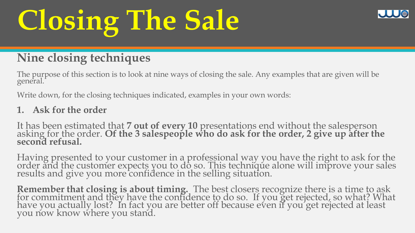### **Nine closing techniques**

The purpose of this section is to look at nine ways of closing the sale. Any examples that are given will be general.

Write down, for the closing techniques indicated, examples in your own words:

#### **1. Ask for the order**

It has been estimated that **7 out of every 10** presentations end without the salesperson asking for the order. **Of the 3 salespeople who do ask for the order, 2 give up after the second refusal.** 

Having presented to your customer in a professional way you have the right to ask for the order and the customer expects you to do so. This technique alone will improve your sales results and give you more confidence in the selling situation.

**Remember that closing is about timing.** The best closers recognize there is a time to ask for commitment and they have the confidence to do so. If you get rejected, so what? What have you actually lost? In fact you are better off because even if you get rejected at least you now know where you stand.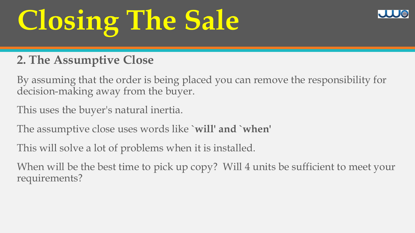### **2. The Assumptive Close**

By assuming that the order is being placed you can remove the responsibility for decision-making away from the buyer.

This uses the buyer's natural inertia.

The assumptive close uses words like **`will' and `when'** 

This will solve a lot of problems when it is installed.

When will be the best time to pick up copy? Will 4 units be sufficient to meet your requirements?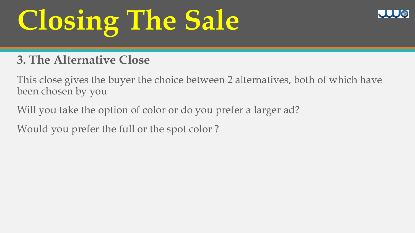### **3. The Alternative Close**

This close gives the buyer the choice between 2 alternatives, both of which have been chosen by you

Will you take the option of color or do you prefer a larger ad?

Would you prefer the full or the spot color ?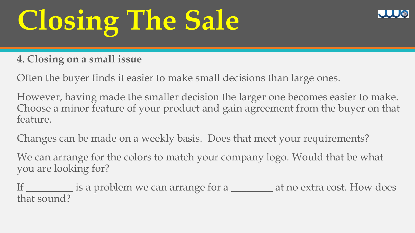

#### **4. Closing on a small issue**

Often the buyer finds it easier to make small decisions than large ones.

However, having made the smaller decision the larger one becomes easier to make. Choose a minor feature of your product and gain agreement from the buyer on that feature.

Changes can be made on a weekly basis. Does that meet your requirements?

We can arrange for the colors to match your company logo. Would that be what you are looking for?

If \_\_\_\_\_\_\_\_\_ is a problem we can arrange for a \_\_\_\_\_\_\_\_\_ at no extra cost. How does that sound?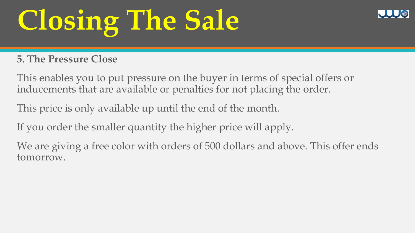#### **5. The Pressure Close**

This enables you to put pressure on the buyer in terms of special offers or inducements that are available or penalties for not placing the order.

This price is only available up until the end of the month.

If you order the smaller quantity the higher price will apply.

We are giving a free color with orders of 500 dollars and above. This offer ends tomorrow.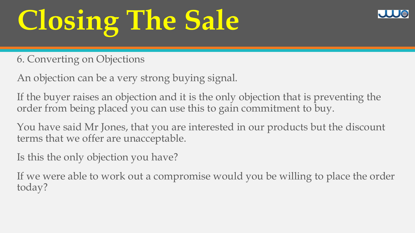6. Converting on Objections

An objection can be a very strong buying signal.

If the buyer raises an objection and it is the only objection that is preventing the order from being placed you can use this to gain commitment to buy.

You have said Mr Jones, that you are interested in our products but the discount terms that we offer are unacceptable.

Is this the only objection you have?

If we were able to work out a compromise would you be willing to place the order today?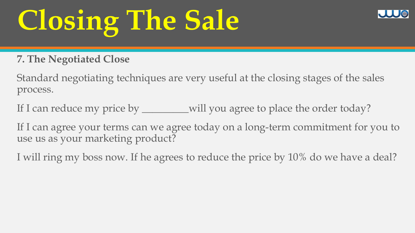#### **7. The Negotiated Close**

Standard negotiating techniques are very useful at the closing stages of the sales process.

If I can reduce my price by \_\_\_\_\_\_\_will you agree to place the order today?

If I can agree your terms can we agree today on a long-term commitment for you to use us as your marketing product?

I will ring my boss now. If he agrees to reduce the price by 10% do we have a deal?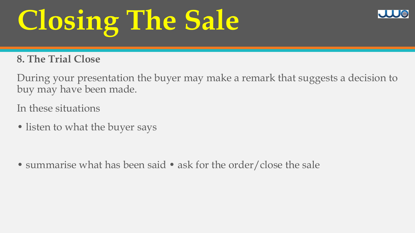#### **8. The Trial Close**

During your presentation the buyer may make a remark that suggests a decision to buy may have been made.

In these situations

• listen to what the buyer says

• summarise what has been said • ask for the order/close the sale

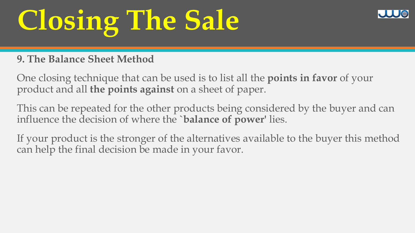#### **9. The Balance Sheet Method**

One closing technique that can be used is to list all the **points in favor** of your product and all **the points against** on a sheet of paper.

This can be repeated for the other products being considered by the buyer and can influence the decision of where the **`balance of power'** lies.

If your product is the stronger of the alternatives available to the buyer this method can help the final decision be made in your favor.